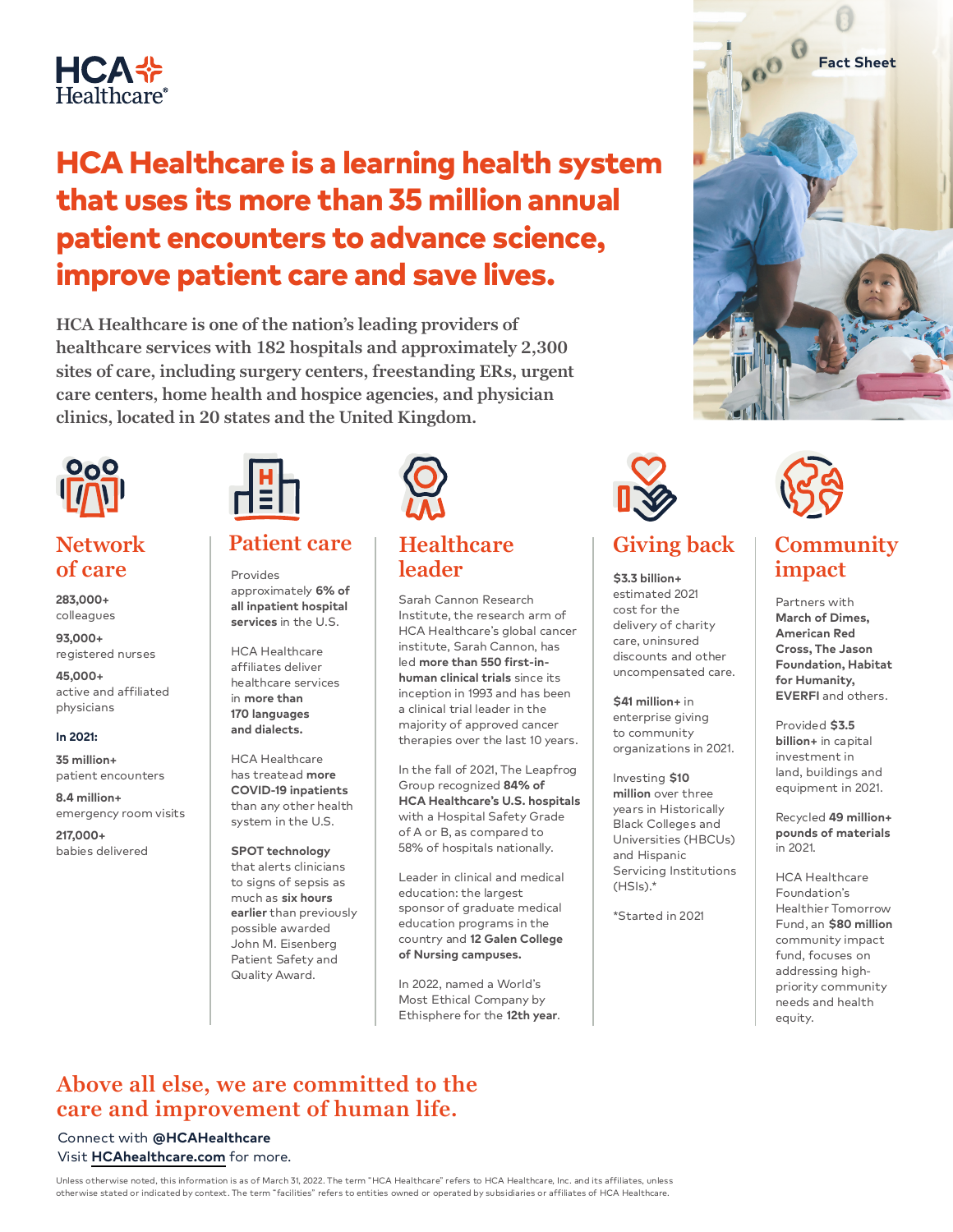

# HCA Healthcare is a learning health system that uses its more than 35 million annual patient encounters to advance science, improve patient care and save lives.

**HCA Healthcare is one of the nation's leading providers of healthcare services with 182 hospitals and approximately 2,300 sites of care, including surgery centers, freestanding ERs, urgent care centers, home health and hospice agencies, and physician clinics, located in 20 states and the United Kingdom.** 



## **Network of care**

**283,000+** colleagues

**93,000+** registered nurses

**45,000+** active and affiliated physicians

#### **In 2021:**

**35 million+** patient encounters

**8.4 million+** emergency room visits

**217,000+** babies delivered



Provides approximately **6% of all inpatient hospital services** in the U.S.

HCA Healthcare affiliates deliver healthcare services in **more than 170 languages and dialects.**

HCA Healthcare has treatead **more COVID-19 inpatients** than any other health system in the U.S.

**SPOT technology**  that alerts clinicians to signs of sepsis as much as **six hours earlier** than previously possible awarded John M. Eisenberg Patient Safety and Quality Award.



### **Healthcare leader**

Sarah Cannon Research Institute, the research arm of HCA Healthcare's global cancer institute, Sarah Cannon, has led **more than 550 first-inhuman clinical trials** since its inception in 1993 and has been a clinical trial leader in the majority of approved cancer therapies over the last 10 years.

In the fall of 2021, The Leapfrog Group recognized **84% of HCA Healthcare's U.S. hospitals** with a Hospital Safety Grade of A or B, as compared to 58% of hospitals nationally.

Leader in clinical and medical education: the largest sponsor of graduate medical education programs in the country and **12 Galen College of Nursing campuses.**

In 2022, named a World's Most Ethical Company by Ethisphere for the **12th year**.



**\$3.3 billion+** estimated 2021 cost for the delivery of charity care, uninsured discounts and other uncompensated care.

**\$41 million+** in enterprise giving to community organizations in 2021.

Investing **\$10 million** over three years in Historically Black Colleges and Universities (HBCUs) and Hispanic Servicing Institutions  $(HSIs).*$ 

\*Started in 2021



## **Patient care Healthcare Giving back Community impact**

Partners with **March of Dimes, American Red Cross, The Jason Foundation, Habitat for Humanity, EVERFI** and others.

Provided **\$3.5 billion+** in capital investment in land, buildings and equipment in 2021.

Recycled **49 million+ pounds of materials**  in 2021.

HCA Healthcare Foundation's Healthier Tomorrow Fund, an **\$80 million** community impact fund, focuses on addressing highpriority community needs and health equity.

### **Above all else, we are committed to the care and improvement of human life.**

#### Connect with **@HCAHealthcare** Visit **[HCAhealthcare.com](https://hcahealthcare.com/)** for more.

Unless otherwise noted, this information is as of March 31, 2022. The term "HCA Healthcare" refers to HCA Healthcare, Inc. and its affiliates, unless otherwise stated or indicated by context. The term "facilities" refers to entities owned or operated by subsidiaries or affiliates of HCA Healthcare.